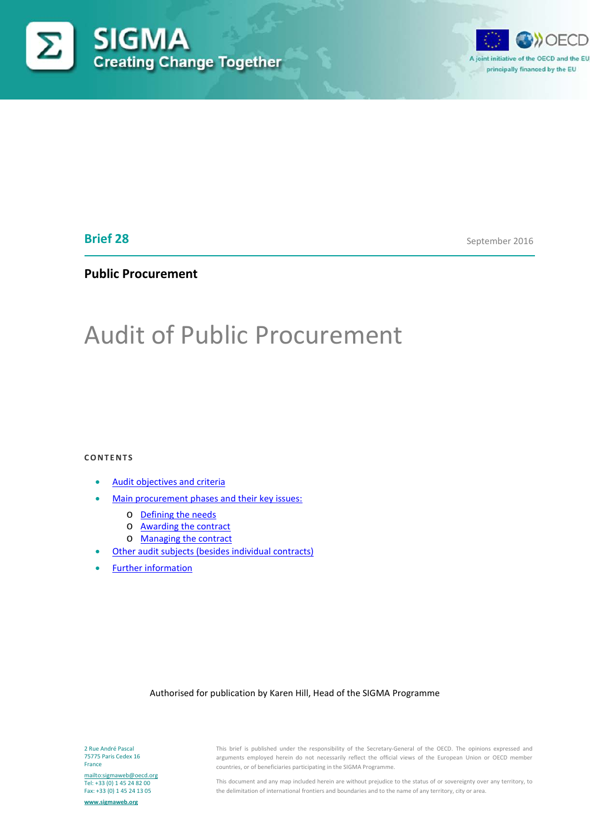



# **Brief 28**

September 2016

# **Public Procurement**

# Audit of Public Procurement

#### **CONTENTS**

- **[Audit objectives and criteria](#page-1-0)**
- [Main procurement phases and their key issues:](#page-2-0)
	- o [Defining the needs](#page-2-1)
	- o [Awarding the contract](#page-3-0)
	- o [Managing the contract](#page-10-0)
	- **[Other audit subjects \(besides individual contracts\)](#page-11-0)**
- [Further information](#page-12-0)

#### Authorised for publication by Karen Hill, Head of the SIGMA Programme

2 Rue André Pascal 75775 Paris Cedex 16 France

<mailto:sigmaweb@oecd.org> Tel: +33 (0) 1 45 24 82 00 Fax: +33 (0) 1 45 24 13 05

**[www.sigmaweb.org](http://www.sigmaweb.org/)**

This brief is published under the responsibility of the Secretary-General of the OECD. The opinions expressed and arguments employed herein do not necessarily reflect the official views of the European Union or OECD member countries, or of beneficiaries participating in the SIGMA Programme.

This document and any map included herein are without prejudice to the status of or sovereignty over any territory, to the delimitation of international frontiers and boundaries and to the name of any territory, city or area.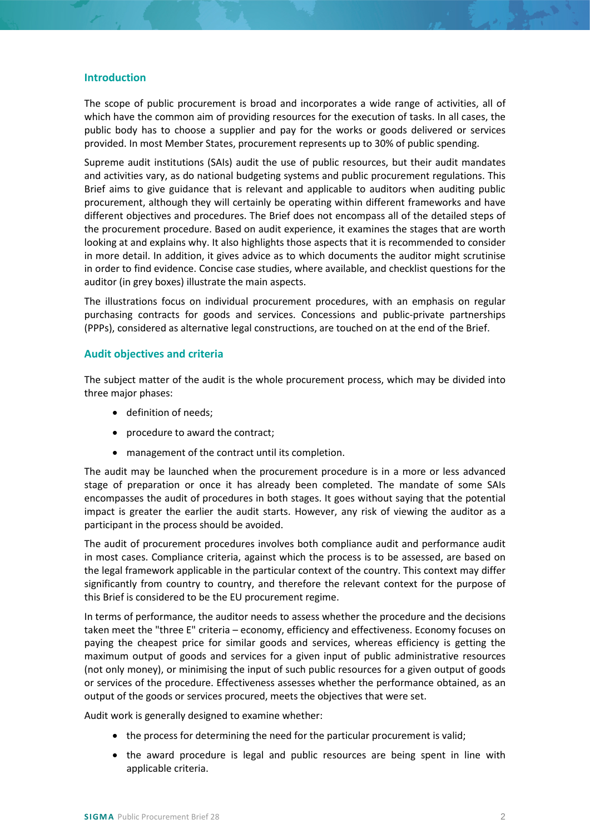## **Introduction**

The scope of public procurement is broad and incorporates a wide range of activities, all of which have the common aim of providing resources for the execution of tasks. In all cases, the public body has to choose a supplier and pay for the works or goods delivered or services provided. In most Member States, procurement represents up to 30% of public spending.

Supreme audit institutions (SAIs) audit the use of public resources, but their audit mandates and activities vary, as do national budgeting systems and public procurement regulations. This Brief aims to give guidance that is relevant and applicable to auditors when auditing public procurement, although they will certainly be operating within different frameworks and have different objectives and procedures. The Brief does not encompass all of the detailed steps of the procurement procedure. Based on audit experience, it examines the stages that are worth looking at and explains why. It also highlights those aspects that it is recommended to consider in more detail. In addition, it gives advice as to which documents the auditor might scrutinise in order to find evidence. Concise case studies, where available, and checklist questions for the auditor (in grey boxes) illustrate the main aspects.

The illustrations focus on individual procurement procedures, with an emphasis on regular purchasing contracts for goods and services. Concessions and public-private partnerships (PPPs), considered as alternative legal constructions, are touched on at the end of the Brief.

## <span id="page-1-0"></span>**Audit objectives and criteria**

The subject matter of the audit is the whole procurement process, which may be divided into three major phases:

- definition of needs;
- procedure to award the contract;
- management of the contract until its completion.

The audit may be launched when the procurement procedure is in a more or less advanced stage of preparation or once it has already been completed. The mandate of some SAIs encompasses the audit of procedures in both stages. It goes without saying that the potential impact is greater the earlier the audit starts. However, any risk of viewing the auditor as a participant in the process should be avoided.

The audit of procurement procedures involves both compliance audit and performance audit in most cases. Compliance criteria, against which the process is to be assessed, are based on the legal framework applicable in the particular context of the country. This context may differ significantly from country to country, and therefore the relevant context for the purpose of this Brief is considered to be the EU procurement regime.

In terms of performance, the auditor needs to assess whether the procedure and the decisions taken meet the "three E" criteria – economy, efficiency and effectiveness. Economy focuses on paying the cheapest price for similar goods and services, whereas efficiency is getting the maximum output of goods and services for a given input of public administrative resources (not only money), or minimising the input of such public resources for a given output of goods or services of the procedure. Effectiveness assesses whether the performance obtained, as an output of the goods or services procured, meets the objectives that were set.

Audit work is generally designed to examine whether:

- the process for determining the need for the particular procurement is valid;
- the award procedure is legal and public resources are being spent in line with applicable criteria.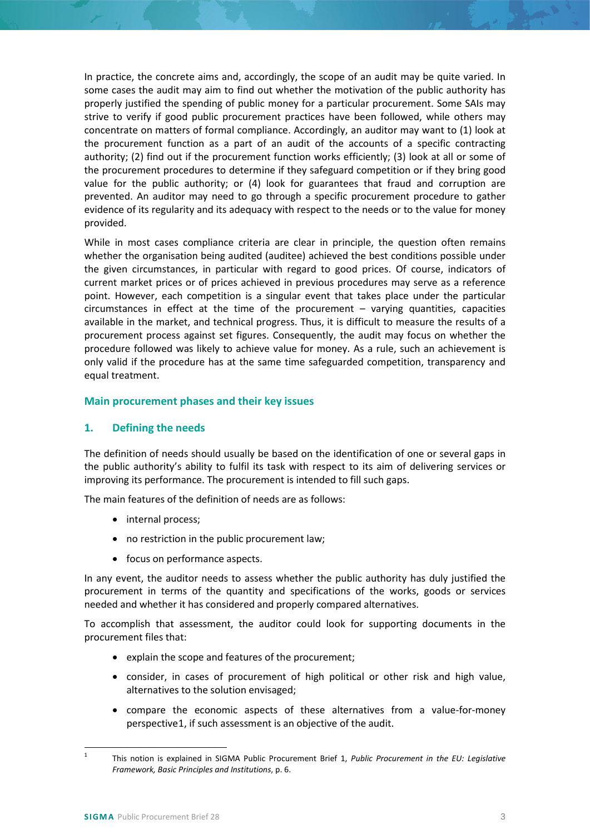In practice, the concrete aims and, accordingly, the scope of an audit may be quite varied. In some cases the audit may aim to find out whether the motivation of the public authority has properly justified the spending of public money for a particular procurement. Some SAIs may strive to verify if good public procurement practices have been followed, while others may concentrate on matters of formal compliance. Accordingly, an auditor may want to (1) look at the procurement function as a part of an audit of the accounts of a specific contracting authority; (2) find out if the procurement function works efficiently; (3) look at all or some of the procurement procedures to determine if they safeguard competition or if they bring good value for the public authority; or (4) look for guarantees that fraud and corruption are prevented. An auditor may need to go through a specific procurement procedure to gather evidence of its regularity and its adequacy with respect to the needs or to the value for money provided.

While in most cases compliance criteria are clear in principle, the question often remains whether the organisation being audited (auditee) achieved the best conditions possible under the given circumstances, in particular with regard to good prices. Of course, indicators of current market prices or of prices achieved in previous procedures may serve as a reference point. However, each competition is a singular event that takes place under the particular circumstances in effect at the time of the procurement – varying quantities, capacities available in the market, and technical progress. Thus, it is difficult to measure the results of a procurement process against set figures. Consequently, the audit may focus on whether the procedure followed was likely to achieve value for money. As a rule, such an achievement is only valid if the procedure has at the same time safeguarded competition, transparency and equal treatment.

# <span id="page-2-0"></span>**Main procurement phases and their key issues**

# <span id="page-2-1"></span>**1. Defining the needs**

The definition of needs should usually be based on the identification of one or several gaps in the public authority's ability to fulfil its task with respect to its aim of delivering services or improving its performance. The procurement is intended to fill such gaps.

The main features of the definition of needs are as follows:

- internal process;
- no restriction in the public procurement law;
- focus on performance aspects.

In any event, the auditor needs to assess whether the public authority has duly justified the procurement in terms of the quantity and specifications of the works, goods or services needed and whether it has considered and properly compared alternatives.

To accomplish that assessment, the auditor could look for supporting documents in the procurement files that:

- explain the scope and features of the procurement;
- consider, in cases of procurement of high political or other risk and high value, alternatives to the solution envisaged;
- compare the economic aspects of these alternatives from a value-for-money perspective[1,](#page-2-2) if such assessment is an objective of the audit.

<span id="page-2-2"></span> <sup>1</sup> This notion is explained in SIGMA Public Procurement Brief 1, *Public Procurement in the EU: Legislative Framework, Basic Principles and Institutions*, p. 6.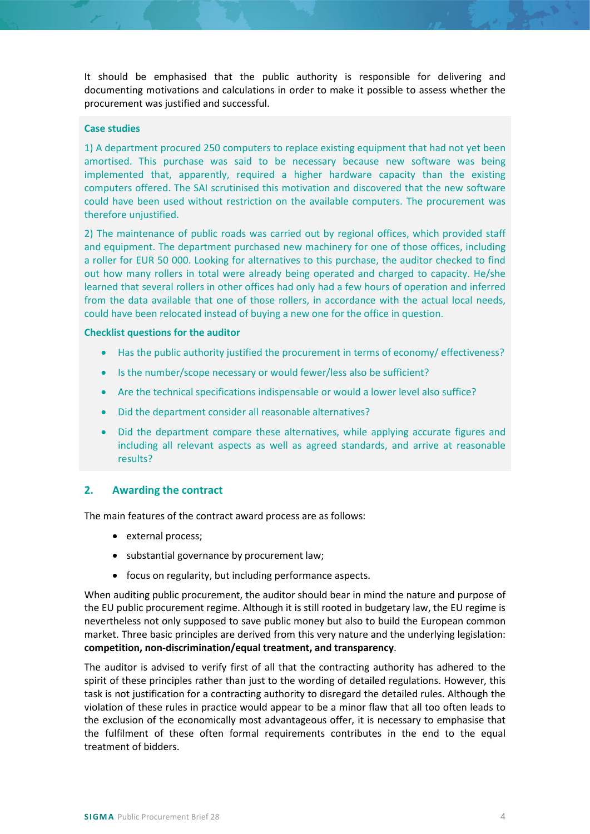It should be emphasised that the public authority is responsible for delivering and documenting motivations and calculations in order to make it possible to assess whether the procurement was justified and successful.

## **Case studies**

1) A department procured 250 computers to replace existing equipment that had not yet been amortised. This purchase was said to be necessary because new software was being implemented that, apparently, required a higher hardware capacity than the existing computers offered. The SAI scrutinised this motivation and discovered that the new software could have been used without restriction on the available computers. The procurement was therefore unjustified.

2) The maintenance of public roads was carried out by regional offices, which provided staff and equipment. The department purchased new machinery for one of those offices, including a roller for EUR 50 000. Looking for alternatives to this purchase, the auditor checked to find out how many rollers in total were already being operated and charged to capacity. He/she learned that several rollers in other offices had only had a few hours of operation and inferred from the data available that one of those rollers, in accordance with the actual local needs, could have been relocated instead of buying a new one for the office in question.

## **Checklist questions for the auditor**

- Has the public authority justified the procurement in terms of economy/ effectiveness?
- Is the number/scope necessary or would fewer/less also be sufficient?
- Are the technical specifications indispensable or would a lower level also suffice?
- Did the department consider all reasonable alternatives?
- Did the department compare these alternatives, while applying accurate figures and including all relevant aspects as well as agreed standards, and arrive at reasonable results?

## <span id="page-3-0"></span>**2. Awarding the contract**

The main features of the contract award process are as follows:

- external process;
- substantial governance by procurement law;
- focus on regularity, but including performance aspects.

When auditing public procurement, the auditor should bear in mind the nature and purpose of the EU public procurement regime. Although it is still rooted in budgetary law, the EU regime is nevertheless not only supposed to save public money but also to build the European common market. Three basic principles are derived from this very nature and the underlying legislation: **competition, non-discrimination/equal treatment, and transparency**.

The auditor is advised to verify first of all that the contracting authority has adhered to the spirit of these principles rather than just to the wording of detailed regulations. However, this task is not justification for a contracting authority to disregard the detailed rules. Although the violation of these rules in practice would appear to be a minor flaw that all too often leads to the exclusion of the economically most advantageous offer, it is necessary to emphasise that the fulfilment of these often formal requirements contributes in the end to the equal treatment of bidders.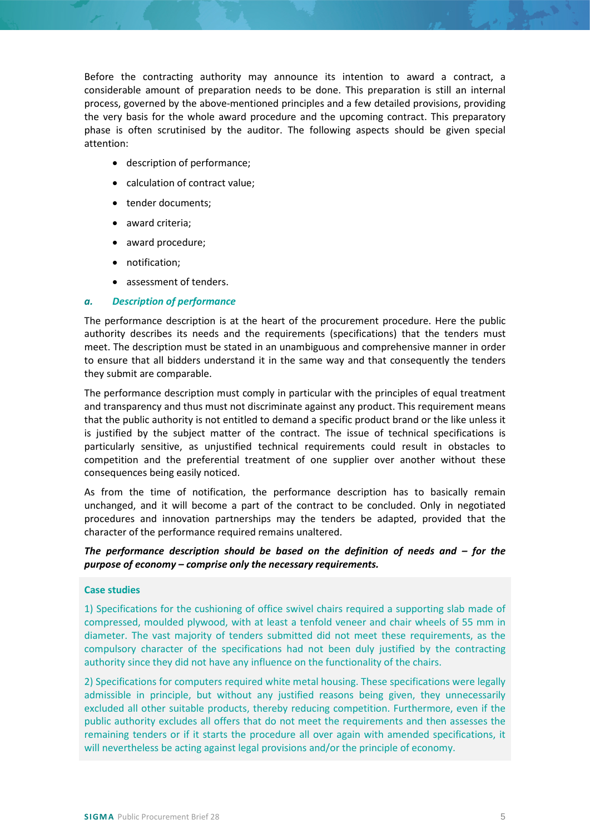Before the contracting authority may announce its intention to award a contract, a considerable amount of preparation needs to be done. This preparation is still an internal process, governed by the above-mentioned principles and a few detailed provisions, providing the very basis for the whole award procedure and the upcoming contract. This preparatory phase is often scrutinised by the auditor. The following aspects should be given special attention:

- description of performance;
- calculation of contract value;
- tender documents:
- award criteria;
- award procedure;
- notification;
- assessment of tenders.

#### *a. Description of performance*

The performance description is at the heart of the procurement procedure. Here the public authority describes its needs and the requirements (specifications) that the tenders must meet. The description must be stated in an unambiguous and comprehensive manner in order to ensure that all bidders understand it in the same way and that consequently the tenders they submit are comparable.

The performance description must comply in particular with the principles of equal treatment and transparency and thus must not discriminate against any product. This requirement means that the public authority is not entitled to demand a specific product brand or the like unless it is justified by the subject matter of the contract. The issue of technical specifications is particularly sensitive, as unjustified technical requirements could result in obstacles to competition and the preferential treatment of one supplier over another without these consequences being easily noticed.

As from the time of notification, the performance description has to basically remain unchanged, and it will become a part of the contract to be concluded. Only in negotiated procedures and innovation partnerships may the tenders be adapted, provided that the character of the performance required remains unaltered.

## *The performance description should be based on the definition of needs and – for the purpose of economy – comprise only the necessary requirements.*

#### **Case studies**

1) Specifications for the cushioning of office swivel chairs required a supporting slab made of compressed, moulded plywood, with at least a tenfold veneer and chair wheels of 55 mm in diameter. The vast majority of tenders submitted did not meet these requirements, as the compulsory character of the specifications had not been duly justified by the contracting authority since they did not have any influence on the functionality of the chairs.

2) Specifications for computers required white metal housing. These specifications were legally admissible in principle, but without any justified reasons being given, they unnecessarily excluded all other suitable products, thereby reducing competition. Furthermore, even if the public authority excludes all offers that do not meet the requirements and then assesses the remaining tenders or if it starts the procedure all over again with amended specifications, it will nevertheless be acting against legal provisions and/or the principle of economy.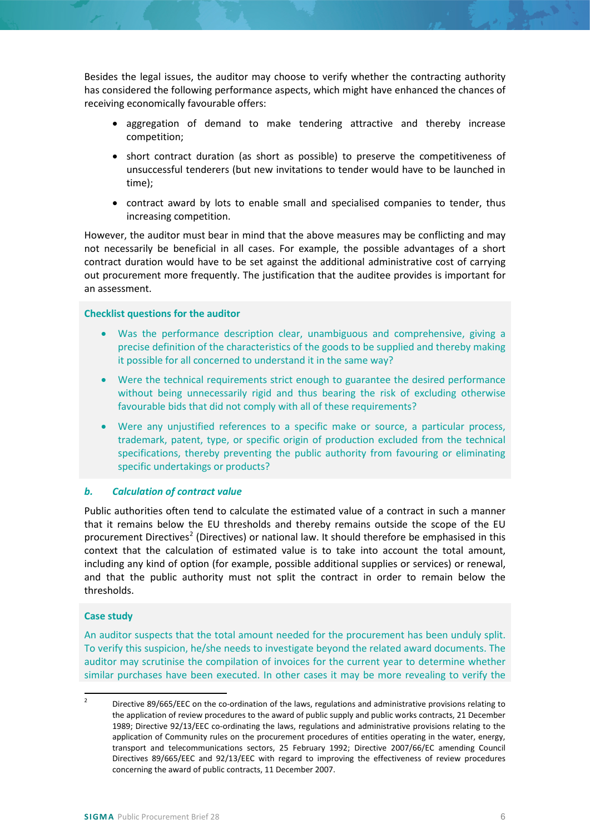Besides the legal issues, the auditor may choose to verify whether the contracting authority has considered the following performance aspects, which might have enhanced the chances of receiving economically favourable offers:

- aggregation of demand to make tendering attractive and thereby increase competition;
- short contract duration (as short as possible) to preserve the competitiveness of unsuccessful tenderers (but new invitations to tender would have to be launched in time);
- contract award by lots to enable small and specialised companies to tender, thus increasing competition.

However, the auditor must bear in mind that the above measures may be conflicting and may not necessarily be beneficial in all cases. For example, the possible advantages of a short contract duration would have to be set against the additional administrative cost of carrying out procurement more frequently. The justification that the auditee provides is important for an assessment.

#### **Checklist questions for the auditor**

- Was the performance description clear, unambiguous and comprehensive, giving a precise definition of the characteristics of the goods to be supplied and thereby making it possible for all concerned to understand it in the same way?
- Were the technical requirements strict enough to guarantee the desired performance without being unnecessarily rigid and thus bearing the risk of excluding otherwise favourable bids that did not comply with all of these requirements?
- Were any unjustified references to a specific make or source, a particular process, trademark, patent, type, or specific origin of production excluded from the technical specifications, thereby preventing the public authority from favouring or eliminating specific undertakings or products?

## *b. Calculation of contract value*

Public authorities often tend to calculate the estimated value of a contract in such a manner that it remains below the EU thresholds and thereby remains outside the scope of the EU procurement Directives<sup>[2](#page-5-0)</sup> (Directives) or national law. It should therefore be emphasised in this context that the calculation of estimated value is to take into account the total amount, including any kind of option (for example, possible additional supplies or services) or renewal, and that the public authority must not split the contract in order to remain below the thresholds.

#### **Case study**

An auditor suspects that the total amount needed for the procurement has been unduly split. To verify this suspicion, he/she needs to investigate beyond the related award documents. The auditor may scrutinise the compilation of invoices for the current year to determine whether similar purchases have been executed. In other cases it may be more revealing to verify the

<span id="page-5-0"></span><sup>&</sup>lt;sup>2</sup> Directive 89/665/EEC on the co-ordination of the laws, regulations and administrative provisions relating to the application of review procedures to the award of public supply and public works contracts, 21 December 1989; Directive 92/13/EEC co-ordinating the laws, regulations and administrative provisions relating to the application of Community rules on the procurement procedures of entities operating in the water, energy, transport and telecommunications sectors, 25 February 1992; Directive 2007/66/EC amending Council Directives 89/665/EEC and 92/13/EEC with regard to improving the effectiveness of review procedures concerning the award of public contracts, 11 December 2007.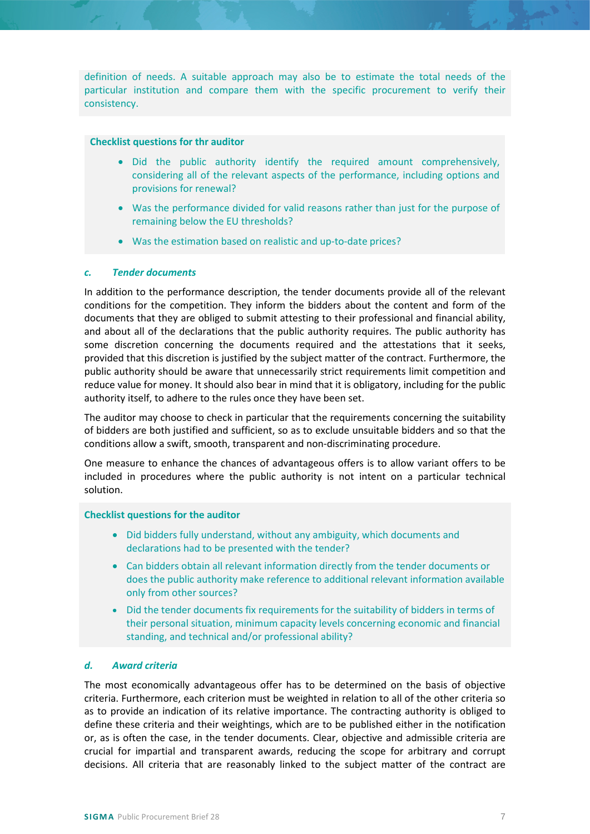definition of needs. A suitable approach may also be to estimate the total needs of the particular institution and compare them with the specific procurement to verify their consistency.

#### **Checklist questions for thr auditor**

- Did the public authority identify the required amount comprehensively, considering all of the relevant aspects of the performance, including options and provisions for renewal?
- Was the performance divided for valid reasons rather than just for the purpose of remaining below the EU thresholds?
- Was the estimation based on realistic and up-to-date prices?

## *c. Tender documents*

In addition to the performance description, the tender documents provide all of the relevant conditions for the competition. They inform the bidders about the content and form of the documents that they are obliged to submit attesting to their professional and financial ability, and about all of the declarations that the public authority requires. The public authority has some discretion concerning the documents required and the attestations that it seeks, provided that this discretion is justified by the subject matter of the contract. Furthermore, the public authority should be aware that unnecessarily strict requirements limit competition and reduce value for money. It should also bear in mind that it is obligatory, including for the public authority itself, to adhere to the rules once they have been set.

The auditor may choose to check in particular that the requirements concerning the suitability of bidders are both justified and sufficient, so as to exclude unsuitable bidders and so that the conditions allow a swift, smooth, transparent and non-discriminating procedure.

One measure to enhance the chances of advantageous offers is to allow variant offers to be included in procedures where the public authority is not intent on a particular technical solution.

#### **Checklist questions for the auditor**

- Did bidders fully understand, without any ambiguity, which documents and declarations had to be presented with the tender?
- Can bidders obtain all relevant information directly from the tender documents or does the public authority make reference to additional relevant information available only from other sources?
- Did the tender documents fix requirements for the suitability of bidders in terms of their personal situation, minimum capacity levels concerning economic and financial standing, and technical and/or professional ability?

## *d. Award criteria*

The most economically advantageous offer has to be determined on the basis of objective criteria. Furthermore, each criterion must be weighted in relation to all of the other criteria so as to provide an indication of its relative importance. The contracting authority is obliged to define these criteria and their weightings, which are to be published either in the notification or, as is often the case, in the tender documents. Clear, objective and admissible criteria are crucial for impartial and transparent awards, reducing the scope for arbitrary and corrupt decisions. All criteria that are reasonably linked to the subject matter of the contract are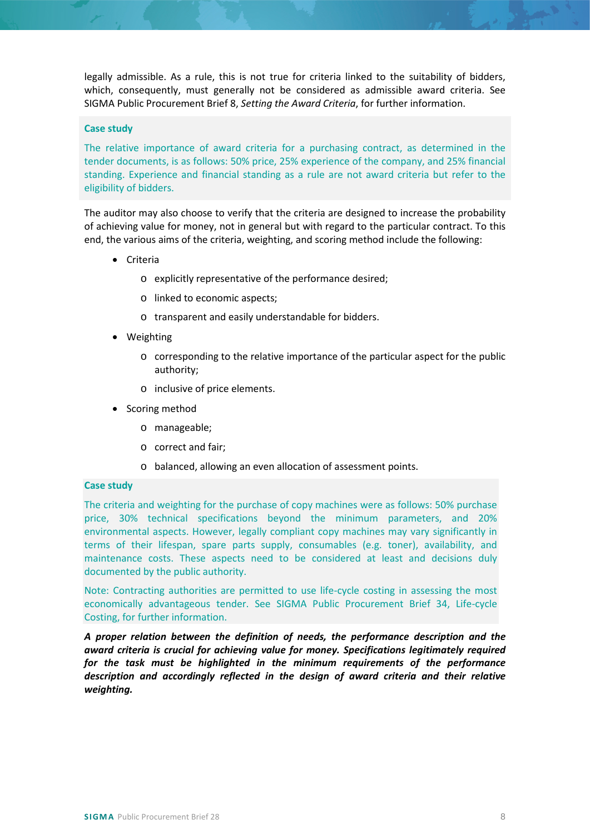legally admissible. As a rule, this is not true for criteria linked to the suitability of bidders, which, consequently, must generally not be considered as admissible award criteria. See SIGMA Public Procurement Brief 8, *Setting the Award Criteria*, for further information.

#### **Case study**

The relative importance of award criteria for a purchasing contract, as determined in the tender documents, is as follows: 50% price, 25% experience of the company, and 25% financial standing. Experience and financial standing as a rule are not award criteria but refer to the eligibility of bidders.

The auditor may also choose to verify that the criteria are designed to increase the probability of achieving value for money, not in general but with regard to the particular contract. To this end, the various aims of the criteria, weighting, and scoring method include the following:

- Criteria
	- o explicitly representative of the performance desired;
	- o linked to economic aspects;
	- o transparent and easily understandable for bidders.
- Weighting
	- o corresponding to the relative importance of the particular aspect for the public authority;
	- o inclusive of price elements.
- Scoring method
	- o manageable;
	- o correct and fair;
	- o balanced, allowing an even allocation of assessment points.

#### **Case study**

The criteria and weighting for the purchase of copy machines were as follows: 50% purchase price, 30% technical specifications beyond the minimum parameters, and 20% environmental aspects. However, legally compliant copy machines may vary significantly in terms of their lifespan, spare parts supply, consumables (e.g. toner), availability, and maintenance costs. These aspects need to be considered at least and decisions duly documented by the public authority.

Note: Contracting authorities are permitted to use life-cycle costing in assessing the most economically advantageous tender. See SIGMA Public Procurement Brief 34, Life-cycle Costing, for further information.

*A proper relation between the definition of needs, the performance description and the award criteria is crucial for achieving value for money. Specifications legitimately required for the task must be highlighted in the minimum requirements of the performance description and accordingly reflected in the design of award criteria and their relative weighting.*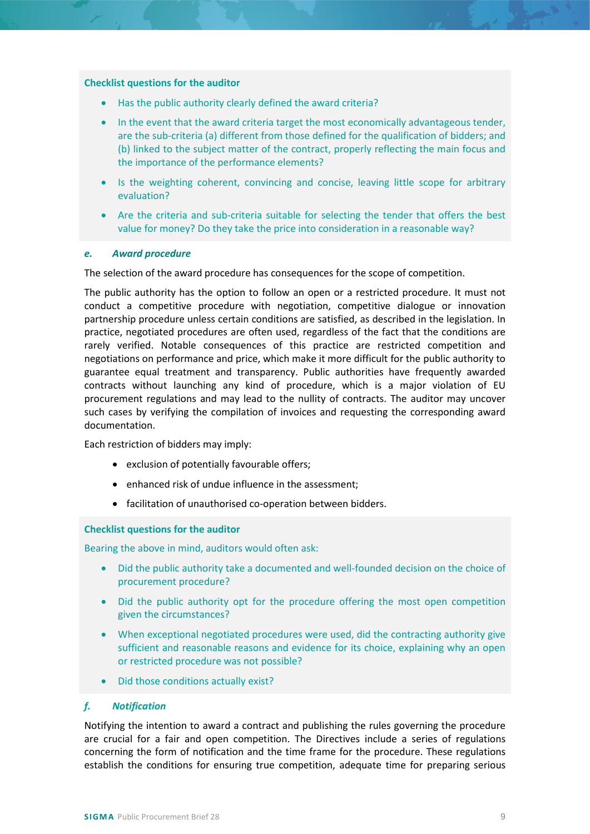#### **Checklist questions for the auditor**

- Has the public authority clearly defined the award criteria?
- In the event that the award criteria target the most economically advantageous tender, are the sub-criteria (a) different from those defined for the qualification of bidders; and (b) linked to the subject matter of the contract, properly reflecting the main focus and the importance of the performance elements?
- Is the weighting coherent, convincing and concise, leaving little scope for arbitrary evaluation?
- Are the criteria and sub-criteria suitable for selecting the tender that offers the best value for money? Do they take the price into consideration in a reasonable way?

#### *e. Award procedure*

The selection of the award procedure has consequences for the scope of competition.

The public authority has the option to follow an open or a restricted procedure. It must not conduct a competitive procedure with negotiation, competitive dialogue or innovation partnership procedure unless certain conditions are satisfied, as described in the legislation. In practice, negotiated procedures are often used, regardless of the fact that the conditions are rarely verified. Notable consequences of this practice are restricted competition and negotiations on performance and price, which make it more difficult for the public authority to guarantee equal treatment and transparency. Public authorities have frequently awarded contracts without launching any kind of procedure, which is a major violation of EU procurement regulations and may lead to the nullity of contracts. The auditor may uncover such cases by verifying the compilation of invoices and requesting the corresponding award documentation.

Each restriction of bidders may imply:

- exclusion of potentially favourable offers;
- enhanced risk of undue influence in the assessment;
- facilitation of unauthorised co-operation between bidders.

#### **Checklist questions for the auditor**

Bearing the above in mind, auditors would often ask:

- Did the public authority take a documented and well-founded decision on the choice of procurement procedure?
- Did the public authority opt for the procedure offering the most open competition given the circumstances?
- When exceptional negotiated procedures were used, did the contracting authority give sufficient and reasonable reasons and evidence for its choice, explaining why an open or restricted procedure was not possible?
- Did those conditions actually exist?

#### *f. Notification*

Notifying the intention to award a contract and publishing the rules governing the procedure are crucial for a fair and open competition. The Directives include a series of regulations concerning the form of notification and the time frame for the procedure. These regulations establish the conditions for ensuring true competition, adequate time for preparing serious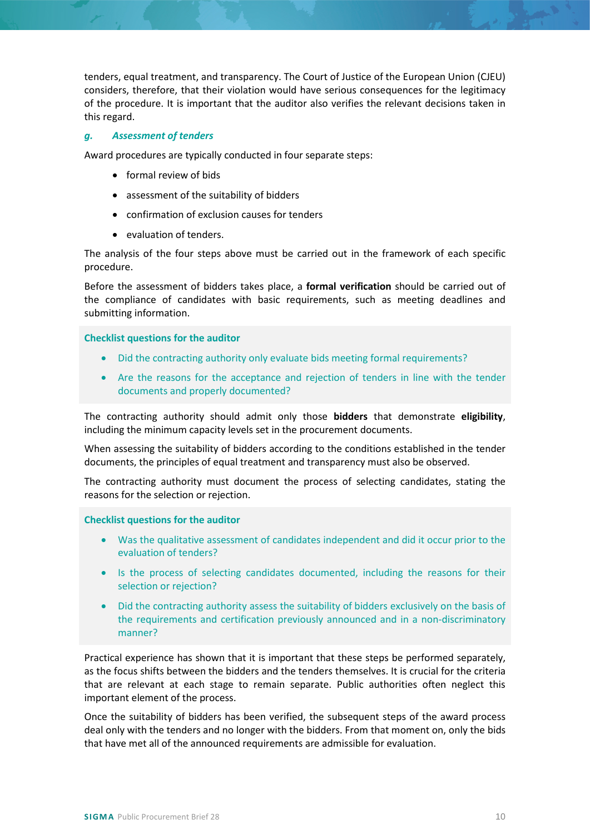tenders, equal treatment, and transparency. The Court of Justice of the European Union (CJEU) considers, therefore, that their violation would have serious consequences for the legitimacy of the procedure. It is important that the auditor also verifies the relevant decisions taken in this regard.

## *g. Assessment of tenders*

Award procedures are typically conducted in four separate steps:

- formal review of bids
- assessment of the suitability of bidders
- confirmation of exclusion causes for tenders
- evaluation of tenders.

The analysis of the four steps above must be carried out in the framework of each specific procedure.

Before the assessment of bidders takes place, a **formal verification** should be carried out of the compliance of candidates with basic requirements, such as meeting deadlines and submitting information.

#### **Checklist questions for the auditor**

- Did the contracting authority only evaluate bids meeting formal requirements?
- Are the reasons for the acceptance and rejection of tenders in line with the tender documents and properly documented?

The contracting authority should admit only those **bidders** that demonstrate **eligibility**, including the minimum capacity levels set in the procurement documents.

When assessing the suitability of bidders according to the conditions established in the tender documents, the principles of equal treatment and transparency must also be observed.

The contracting authority must document the process of selecting candidates, stating the reasons for the selection or rejection.

#### **Checklist questions for the auditor**

- Was the qualitative assessment of candidates independent and did it occur prior to the evaluation of tenders?
- Is the process of selecting candidates documented, including the reasons for their selection or rejection?
- Did the contracting authority assess the suitability of bidders exclusively on the basis of the requirements and certification previously announced and in a non-discriminatory manner?

Practical experience has shown that it is important that these steps be performed separately, as the focus shifts between the bidders and the tenders themselves. It is crucial for the criteria that are relevant at each stage to remain separate. Public authorities often neglect this important element of the process.

Once the suitability of bidders has been verified, the subsequent steps of the award process deal only with the tenders and no longer with the bidders. From that moment on, only the bids that have met all of the announced requirements are admissible for evaluation.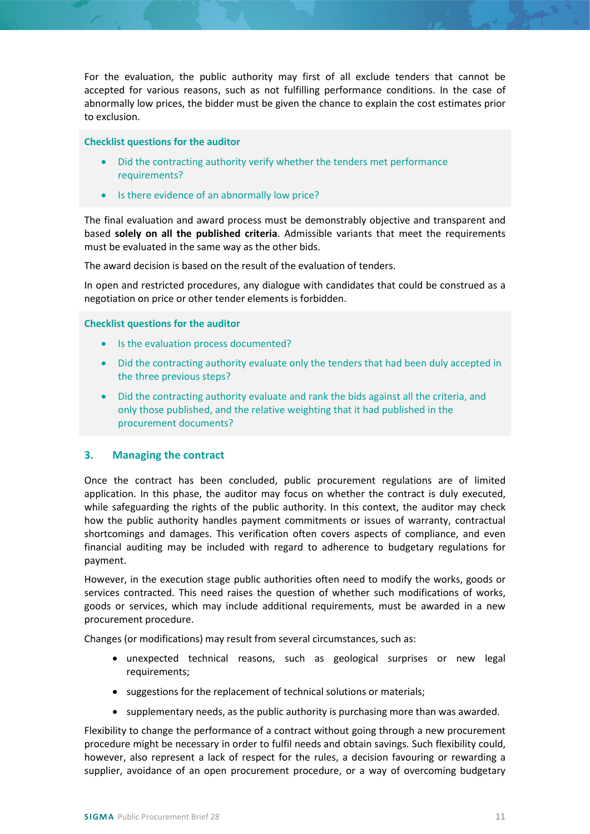For the evaluation, the public authority may first of all exclude tenders that cannot be accepted for various reasons, such as not fulfilling performance conditions. In the case of abnormally low prices, the bidder must be given the chance to explain the cost estimates prior to exclusion.

#### **Checklist questions for the auditor**

- Did the contracting authority verify whether the tenders met performance requirements?
- Is there evidence of an abnormally low price?

The final evaluation and award process must be demonstrably objective and transparent and based **solely on all the published criteria**. Admissible variants that meet the requirements must be evaluated in the same way as the other bids.

The award decision is based on the result of the evaluation of tenders.

In open and restricted procedures, any dialogue with candidates that could be construed as a negotiation on price or other tender elements is forbidden.

## **Checklist questions for the auditor**

- Is the evaluation process documented?
- Did the contracting authority evaluate only the tenders that had been duly accepted in the three previous steps?
- Did the contracting authority evaluate and rank the bids against all the criteria, and only those published, and the relative weighting that it had published in the procurement documents?

## <span id="page-10-0"></span>**3. Managing the contract**

Once the contract has been concluded, public procurement regulations are of limited application. In this phase, the auditor may focus on whether the contract is duly executed, while safeguarding the rights of the public authority. In this context, the auditor may check how the public authority handles payment commitments or issues of warranty, contractual shortcomings and damages. This verification often covers aspects of compliance, and even financial auditing may be included with regard to adherence to budgetary regulations for payment.

However, in the execution stage public authorities often need to modify the works, goods or services contracted. This need raises the question of whether such modifications of works, goods or services, which may include additional requirements, must be awarded in a new procurement procedure.

Changes (or modifications) may result from several circumstances, such as:

- unexpected technical reasons, such as geological surprises or new legal requirements;
- suggestions for the replacement of technical solutions or materials;
- supplementary needs, as the public authority is purchasing more than was awarded.

Flexibility to change the performance of a contract without going through a new procurement procedure might be necessary in order to fulfil needs and obtain savings. Such flexibility could, however, also represent a lack of respect for the rules, a decision favouring or rewarding a supplier, avoidance of an open procurement procedure, or a way of overcoming budgetary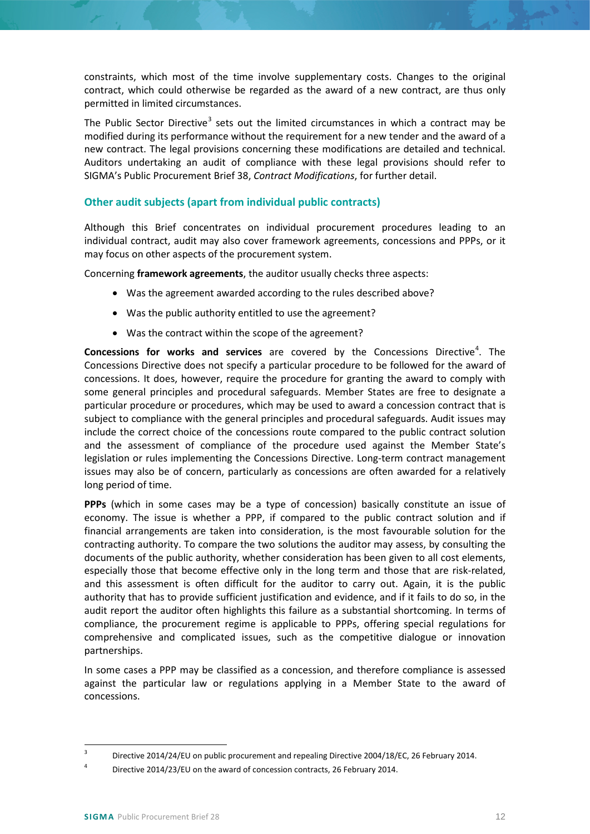constraints, which most of the time involve supplementary costs. Changes to the original contract, which could otherwise be regarded as the award of a new contract, are thus only permitted in limited circumstances.

The Public Sector Directive<sup>[3](#page-11-1)</sup> sets out the limited circumstances in which a contract may be modified during its performance without the requirement for a new tender and the award of a new contract. The legal provisions concerning these modifications are detailed and technical. Auditors undertaking an audit of compliance with these legal provisions should refer to SIGMA's Public Procurement Brief 38, *Contract Modifications*, for further detail.

# <span id="page-11-0"></span>**Other audit subjects (apart from individual public contracts)**

Although this Brief concentrates on individual procurement procedures leading to an individual contract, audit may also cover framework agreements, concessions and PPPs, or it may focus on other aspects of the procurement system.

Concerning **framework agreements**, the auditor usually checks three aspects:

- Was the agreement awarded according to the rules described above?
- Was the public authority entitled to use the agreement?
- Was the contract within the scope of the agreement?

**Concessions for works and services** are covered by the Concessions Directive<sup>[4](#page-11-2)</sup>. The Concessions Directive does not specify a particular procedure to be followed for the award of concessions. It does, however, require the procedure for granting the award to comply with some general principles and procedural safeguards. Member States are free to designate a particular procedure or procedures, which may be used to award a concession contract that is subject to compliance with the general principles and procedural safeguards. Audit issues may include the correct choice of the concessions route compared to the public contract solution and the assessment of compliance of the procedure used against the Member State's legislation or rules implementing the Concessions Directive. Long-term contract management issues may also be of concern, particularly as concessions are often awarded for a relatively long period of time.

**PPPs** (which in some cases may be a type of concession) basically constitute an issue of economy. The issue is whether a PPP, if compared to the public contract solution and if financial arrangements are taken into consideration, is the most favourable solution for the contracting authority. To compare the two solutions the auditor may assess, by consulting the documents of the public authority, whether consideration has been given to all cost elements, especially those that become effective only in the long term and those that are risk-related, and this assessment is often difficult for the auditor to carry out. Again, it is the public authority that has to provide sufficient justification and evidence, and if it fails to do so, in the audit report the auditor often highlights this failure as a substantial shortcoming. In terms of compliance, the procurement regime is applicable to PPPs, offering special regulations for comprehensive and complicated issues, such as the competitive dialogue or innovation partnerships.

In some cases a PPP may be classified as a concession, and therefore compliance is assessed against the particular law or regulations applying in a Member State to the award of concessions.

<span id="page-11-1"></span><sup>&</sup>lt;sup>3</sup> Directive 2014/24/EU on public procurement and repealing Directive 2004/18/EC, 26 February 2014.

<span id="page-11-2"></span><sup>4</sup> Directive 2014/23/EU on the award of concession contracts, 26 February 2014.